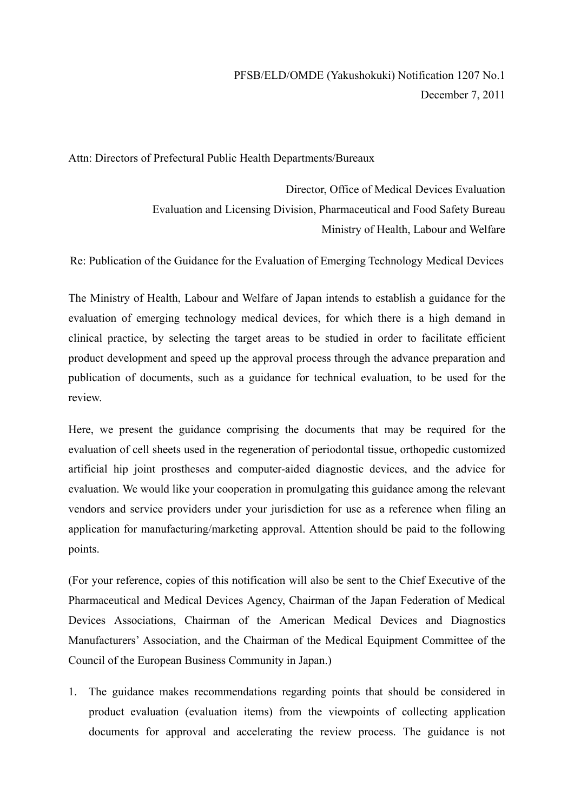Attn: Directors of Prefectural Public Health Departments/Bureaux

Director, Office of Medical Devices Evaluation Evaluation and Licensing Division, Pharmaceutical and Food Safety Bureau Ministry of Health, Labour and Welfare

Re: Publication of the Guidance for the Evaluation of Emerging Technology Medical Devices

The Ministry of Health, Labour and Welfare of Japan intends to establish a guidance for the evaluation of emerging technology medical devices, for which there is a high demand in clinical practice, by selecting the target areas to be studied in order to facilitate efficient product development and speed up the approval process through the advance preparation and publication of documents, such as a guidance for technical evaluation, to be used for the review.

Here, we present the guidance comprising the documents that may be required for the evaluation of cell sheets used in the regeneration of periodontal tissue, orthopedic customized artificial hip joint prostheses and computer-aided diagnostic devices, and the advice for evaluation. We would like your cooperation in promulgating this guidance among the relevant vendors and service providers under your jurisdiction for use as a reference when filing an application for manufacturing/marketing approval. Attention should be paid to the following points.

(For your reference, copies of this notification will also be sent to the Chief Executive of the Pharmaceutical and Medical Devices Agency, Chairman of the Japan Federation of Medical Devices Associations, Chairman of the American Medical Devices and Diagnostics Manufacturers' Association, and the Chairman of the Medical Equipment Committee of the Council of the European Business Community in Japan.)

1. The guidance makes recommendations regarding points that should be considered in product evaluation (evaluation items) from the viewpoints of collecting application documents for approval and accelerating the review process. The guidance is not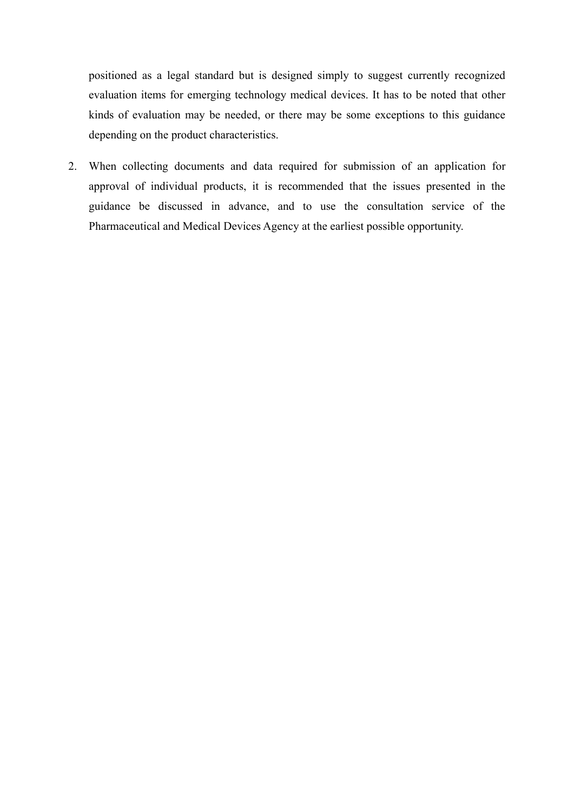positioned as a legal standard but is designed simply to suggest currently recognized evaluation items for emerging technology medical devices. It has to be noted that other kinds of evaluation may be needed, or there may be some exceptions to this guidance depending on the product characteristics.

2. When collecting documents and data required for submission of an application for approval of individual products, it is recommended that the issues presented in the guidance be discussed in advance, and to use the consultation service of the Pharmaceutical and Medical Devices Agency at the earliest possible opportunity.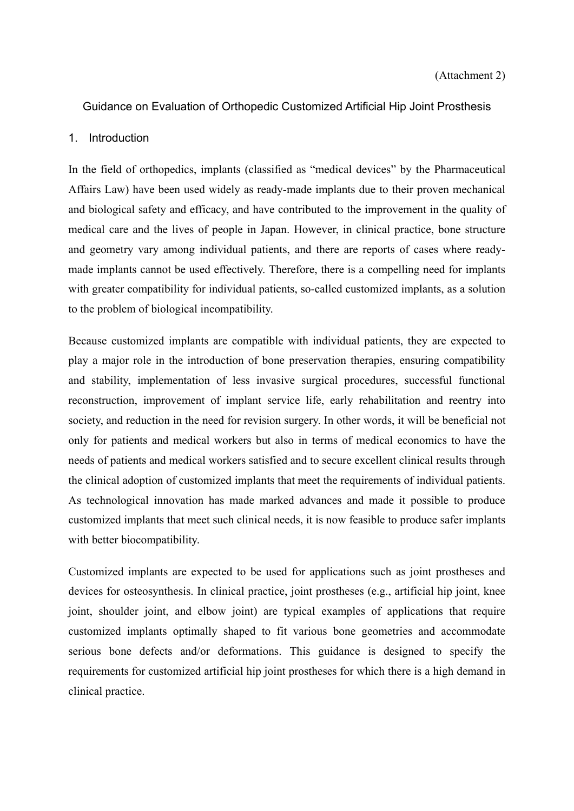### Guidance on Evaluation of Orthopedic Customized Artificial Hip Joint Prosthesis

#### 1. Introduction

In the field of orthopedics, implants (classified as "medical devices" by the Pharmaceutical Affairs Law) have been used widely as ready-made implants due to their proven mechanical and biological safety and efficacy, and have contributed to the improvement in the quality of medical care and the lives of people in Japan. However, in clinical practice, bone structure and geometry vary among individual patients, and there are reports of cases where readymade implants cannot be used effectively. Therefore, there is a compelling need for implants with greater compatibility for individual patients, so-called customized implants, as a solution to the problem of biological incompatibility.

Because customized implants are compatible with individual patients, they are expected to play a major role in the introduction of bone preservation therapies, ensuring compatibility and stability, implementation of less invasive surgical procedures, successful functional reconstruction, improvement of implant service life, early rehabilitation and reentry into society, and reduction in the need for revision surgery. In other words, it will be beneficial not only for patients and medical workers but also in terms of medical economics to have the needs of patients and medical workers satisfied and to secure excellent clinical results through the clinical adoption of customized implants that meet the requirements of individual patients. As technological innovation has made marked advances and made it possible to produce customized implants that meet such clinical needs, it is now feasible to produce safer implants with better biocompatibility.

Customized implants are expected to be used for applications such as joint prostheses and devices for osteosynthesis. In clinical practice, joint prostheses (e.g., artificial hip joint, knee joint, shoulder joint, and elbow joint) are typical examples of applications that require customized implants optimally shaped to fit various bone geometries and accommodate serious bone defects and/or deformations. This guidance is designed to specify the requirements for customized artificial hip joint prostheses for which there is a high demand in clinical practice.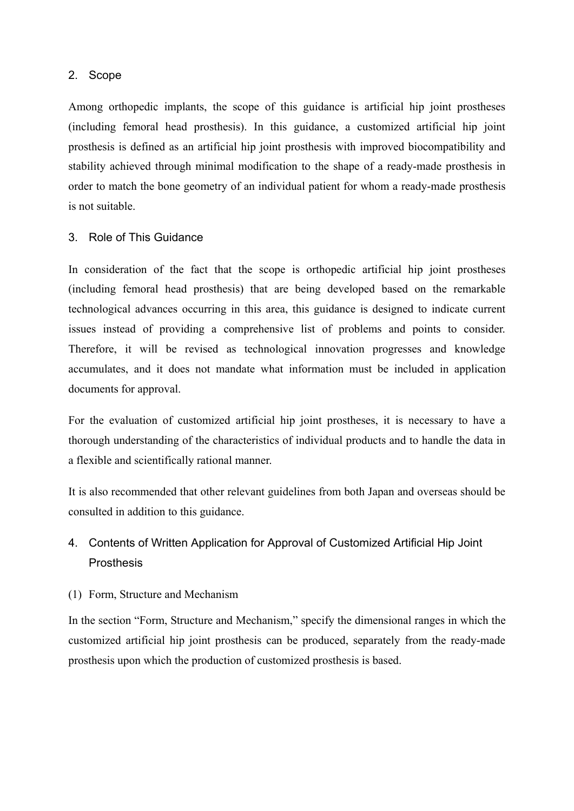### 2. Scope

Among orthopedic implants, the scope of this guidance is artificial hip joint prostheses (including femoral head prosthesis). In this guidance, a customized artificial hip joint prosthesis is defined as an artificial hip joint prosthesis with improved biocompatibility and stability achieved through minimal modification to the shape of a ready-made prosthesis in order to match the bone geometry of an individual patient for whom a ready-made prosthesis is not suitable.

### 3. Role of This Guidance

In consideration of the fact that the scope is orthopedic artificial hip joint prostheses (including femoral head prosthesis) that are being developed based on the remarkable technological advances occurring in this area, this guidance is designed to indicate current issues instead of providing a comprehensive list of problems and points to consider. Therefore, it will be revised as technological innovation progresses and knowledge accumulates, and it does not mandate what information must be included in application documents for approval.

For the evaluation of customized artificial hip joint prostheses, it is necessary to have a thorough understanding of the characteristics of individual products and to handle the data in a flexible and scientifically rational manner.

It is also recommended that other relevant guidelines from both Japan and overseas should be consulted in addition to this guidance.

# 4. Contents of Written Application for Approval of Customized Artificial Hip Joint Prosthesis

### (1) Form, Structure and Mechanism

In the section "Form, Structure and Mechanism," specify the dimensional ranges in which the customized artificial hip joint prosthesis can be produced, separately from the ready-made prosthesis upon which the production of customized prosthesis is based.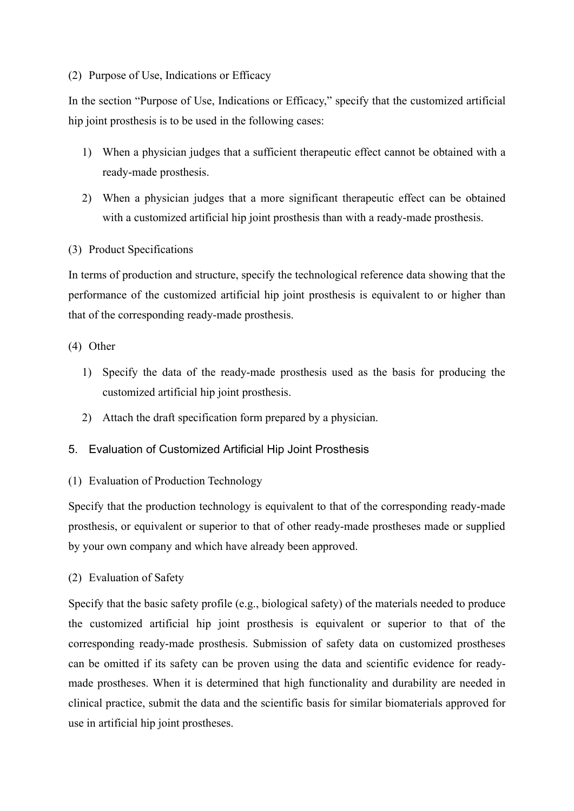### (2) Purpose of Use, Indications or Efficacy

In the section "Purpose of Use, Indications or Efficacy," specify that the customized artificial hip joint prosthesis is to be used in the following cases:

- 1) When a physician judges that a sufficient therapeutic effect cannot be obtained with a ready-made prosthesis.
- 2) When a physician judges that a more significant therapeutic effect can be obtained with a customized artificial hip joint prosthesis than with a ready-made prosthesis.

### (3) Product Specifications

In terms of production and structure, specify the technological reference data showing that the performance of the customized artificial hip joint prosthesis is equivalent to or higher than that of the corresponding ready-made prosthesis.

### (4) Other

- 1) Specify the data of the ready-made prosthesis used as the basis for producing the customized artificial hip joint prosthesis.
- 2) Attach the draft specification form prepared by a physician.

# 5. Evaluation of Customized Artificial Hip Joint Prosthesis

### (1) Evaluation of Production Technology

Specify that the production technology is equivalent to that of the corresponding ready-made prosthesis, or equivalent or superior to that of other ready-made prostheses made or supplied by your own company and which have already been approved.

### (2) Evaluation of Safety

Specify that the basic safety profile (e.g., biological safety) of the materials needed to produce the customized artificial hip joint prosthesis is equivalent or superior to that of the corresponding ready-made prosthesis. Submission of safety data on customized prostheses can be omitted if its safety can be proven using the data and scientific evidence for readymade prostheses. When it is determined that high functionality and durability are needed in clinical practice, submit the data and the scientific basis for similar biomaterials approved for use in artificial hip joint prostheses.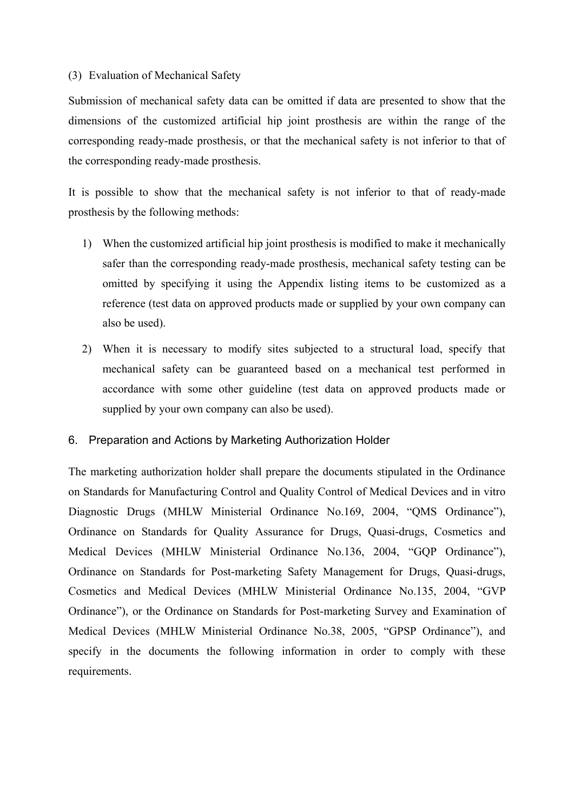#### (3) Evaluation of Mechanical Safety

Submission of mechanical safety data can be omitted if data are presented to show that the dimensions of the customized artificial hip joint prosthesis are within the range of the corresponding ready-made prosthesis, or that the mechanical safety is not inferior to that of the corresponding ready-made prosthesis.

It is possible to show that the mechanical safety is not inferior to that of ready-made prosthesis by the following methods:

- 1) When the customized artificial hip joint prosthesis is modified to make it mechanically safer than the corresponding ready-made prosthesis, mechanical safety testing can be omitted by specifying it using the Appendix listing items to be customized as a reference (test data on approved products made or supplied by your own company can also be used).
- 2) When it is necessary to modify sites subjected to a structural load, specify that mechanical safety can be guaranteed based on a mechanical test performed in accordance with some other guideline (test data on approved products made or supplied by your own company can also be used).

### 6. Preparation and Actions by Marketing Authorization Holder

The marketing authorization holder shall prepare the documents stipulated in the Ordinance on Standards for Manufacturing Control and Quality Control of Medical Devices and in vitro Diagnostic Drugs (MHLW Ministerial Ordinance No.169, 2004, "QMS Ordinance"), Ordinance on Standards for Quality Assurance for Drugs, Quasi-drugs, Cosmetics and Medical Devices (MHLW Ministerial Ordinance No.136, 2004, "GQP Ordinance"), Ordinance on Standards for Post-marketing Safety Management for Drugs, Quasi-drugs, Cosmetics and Medical Devices (MHLW Ministerial Ordinance No.135, 2004, "GVP Ordinance"), or the Ordinance on Standards for Post-marketing Survey and Examination of Medical Devices (MHLW Ministerial Ordinance No.38, 2005, "GPSP Ordinance"), and specify in the documents the following information in order to comply with these requirements.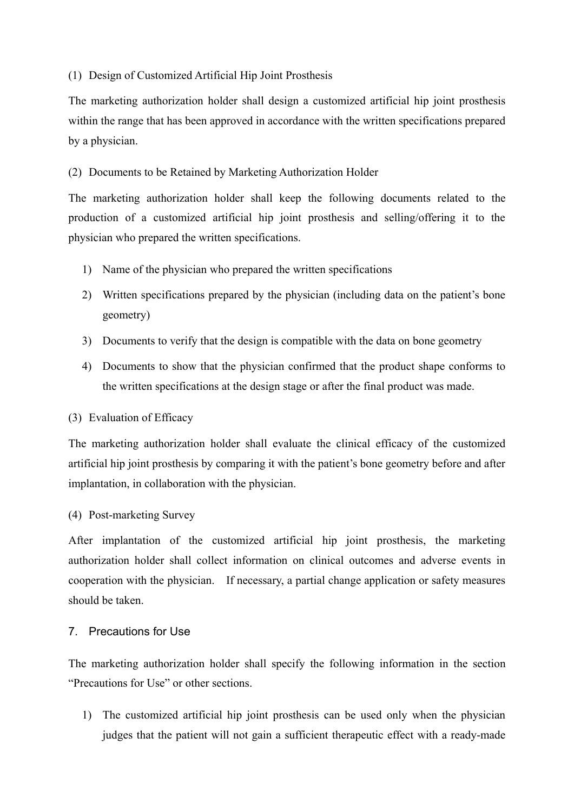### (1) Design of Customized Artificial Hip Joint Prosthesis

The marketing authorization holder shall design a customized artificial hip joint prosthesis within the range that has been approved in accordance with the written specifications prepared by a physician.

(2) Documents to be Retained by Marketing Authorization Holder

The marketing authorization holder shall keep the following documents related to the production of a customized artificial hip joint prosthesis and selling/offering it to the physician who prepared the written specifications.

- 1) Name of the physician who prepared the written specifications
- 2) Written specifications prepared by the physician (including data on the patient's bone geometry)
- 3) Documents to verify that the design is compatible with the data on bone geometry
- 4) Documents to show that the physician confirmed that the product shape conforms to the written specifications at the design stage or after the final product was made.

# (3) Evaluation of Efficacy

The marketing authorization holder shall evaluate the clinical efficacy of the customized artificial hip joint prosthesis by comparing it with the patient's bone geometry before and after implantation, in collaboration with the physician.

# (4) Post-marketing Survey

After implantation of the customized artificial hip joint prosthesis, the marketing authorization holder shall collect information on clinical outcomes and adverse events in cooperation with the physician. If necessary, a partial change application or safety measures should be taken.

# 7. Precautions for Use

The marketing authorization holder shall specify the following information in the section "Precautions for Use" or other sections.

1) The customized artificial hip joint prosthesis can be used only when the physician judges that the patient will not gain a sufficient therapeutic effect with a ready-made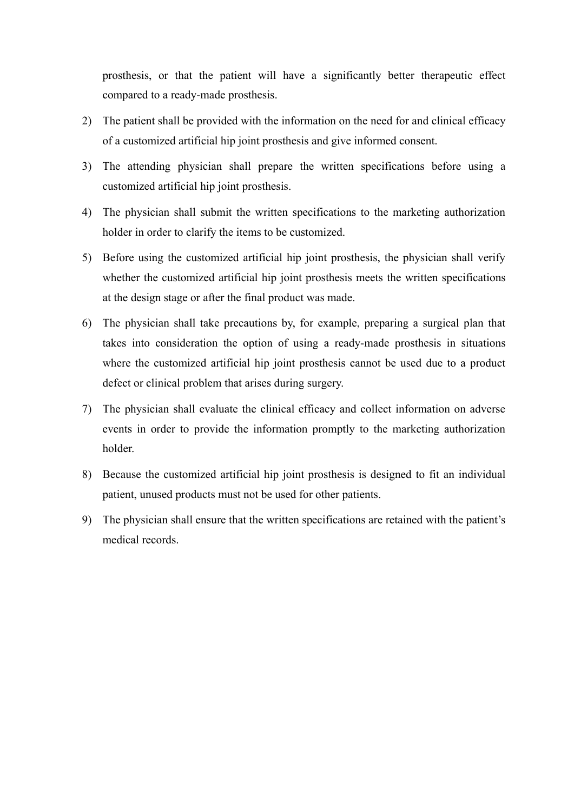prosthesis, or that the patient will have a significantly better therapeutic effect compared to a ready-made prosthesis.

- 2) The patient shall be provided with the information on the need for and clinical efficacy of a customized artificial hip joint prosthesis and give informed consent.
- 3) The attending physician shall prepare the written specifications before using a customized artificial hip joint prosthesis.
- 4) The physician shall submit the written specifications to the marketing authorization holder in order to clarify the items to be customized.
- 5) Before using the customized artificial hip joint prosthesis, the physician shall verify whether the customized artificial hip joint prosthesis meets the written specifications at the design stage or after the final product was made.
- 6) The physician shall take precautions by, for example, preparing a surgical plan that takes into consideration the option of using a ready-made prosthesis in situations where the customized artificial hip joint prosthesis cannot be used due to a product defect or clinical problem that arises during surgery.
- 7) The physician shall evaluate the clinical efficacy and collect information on adverse events in order to provide the information promptly to the marketing authorization holder.
- 8) Because the customized artificial hip joint prosthesis is designed to fit an individual patient, unused products must not be used for other patients.
- 9) The physician shall ensure that the written specifications are retained with the patient's medical records.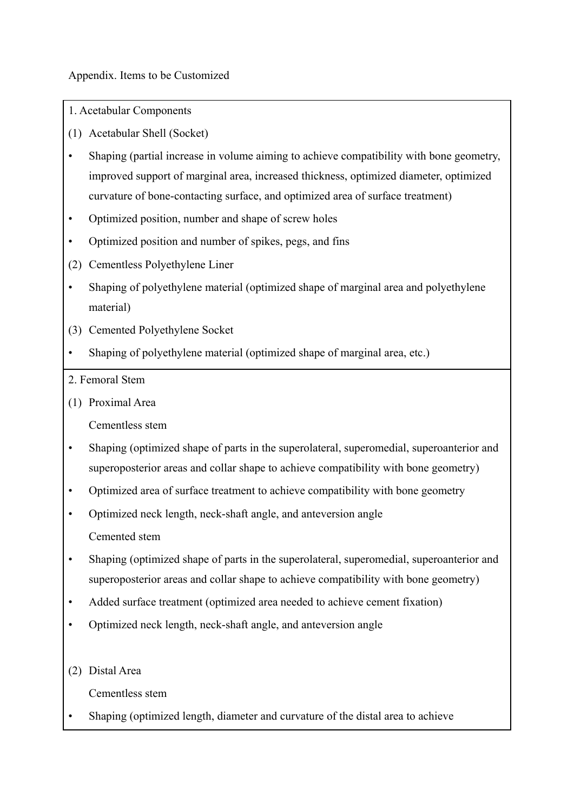Appendix. Items to be Customized

- 1. Acetabular Components
- (1) Acetabular Shell (Socket)
- Shaping (partial increase in volume aiming to achieve compatibility with bone geometry, improved support of marginal area, increased thickness, optimized diameter, optimized curvature of bone-contacting surface, and optimized area of surface treatment)
- Optimized position, number and shape of screw holes
- Optimized position and number of spikes, pegs, and fins
- (2) Cementless Polyethylene Liner
- Shaping of polyethylene material (optimized shape of marginal area and polyethylene material)
- (3) Cemented Polyethylene Socket
- Shaping of polyethylene material (optimized shape of marginal area, etc.)
- 2. Femoral Stem
- (1) Proximal Area

Cementless stem

- Shaping (optimized shape of parts in the superolateral, superomedial, superoanterior and superoposterior areas and collar shape to achieve compatibility with bone geometry)
- Optimized area of surface treatment to achieve compatibility with bone geometry
- Optimized neck length, neck-shaft angle, and anteversion angle Cemented stem
- Shaping (optimized shape of parts in the superolateral, superomedial, superoanterior and superoposterior areas and collar shape to achieve compatibility with bone geometry)
- Added surface treatment (optimized area needed to achieve cement fixation)
- Optimized neck length, neck-shaft angle, and anteversion angle
- (2) Distal Area

Cementless stem

• Shaping (optimized length, diameter and curvature of the distal area to achieve